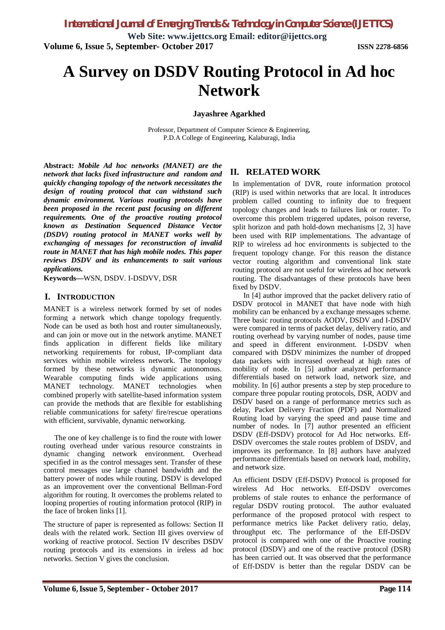**Web Site: www.ijettcs.org Email: editor@ijettcs.org Volume 6, Issue 5, September- October 2017 ISSN 2278-6856**

# **A Survey on DSDV Routing Protocol in Ad hoc Network**

**Jayashree Agarkhed**

Professor, Department of Computer Science & Engineering, P.D.A College of Engineering, Kalaburagi, India

**Abstract:** *Mobile Ad hoc networks (MANET) are the network that lacks fixed infrastructure and random and quickly changing topology of the network necessitates the design of routing protocol that can withstand such dynamic environment. Various routing protocols have been proposed in the recent past focusing on different requirements. One of the proactive routing protocol known as Destination Sequenced Distance Vector (DSDV) routing protocol in MANET works well by exchanging of messages for reconstruction of invalid route in MANET that has high mobile nodes. This paper reviews DSDV and its enhancements to suit various applications.*

**Keywords—**WSN, DSDV. I-DSDVV, DSR

## **I. INTRODUCTION**

MANET is a wireless network formed by set of nodes forming a network which change topology frequently. Node can be used as both host and router simultaneously, and can join or move out in the network anytime. MANET finds application in different fields like military networking requirements for robust, IP-compliant data services within mobile wireless network. The topology formed by these networks is dynamic autonomous. Wearable computing finds wide applications using MANET technology. MANET technologies when combined properly with satellite-based information system can provide the methods that are flexible for establishing reliable communications for safety/ fire/rescue operations with efficient, survivable, dynamic networking.

The one of key challenge is to find the route with lower routing overhead under various resource constraints in dynamic changing network environment. Overhead specified in as the control messages sent. Transfer of these control messages use large channel bandwidth and the battery power of nodes while routing. DSDV is developed as an improvement over the conventional Bellman-Ford algorithm for routing. It overcomes the problems related to looping properties of routing information protocol (RIP) in the face of broken links [1].

The structure of paper is represented as follows: Section II deals with the related work. Section III gives overview of working of reactive protocol. Section IV describes DSDV routing protocols and its extensions in ireless ad hoc networks. Section V gives the conclusion.

## **II. RELATED WORK**

In implementation of DVR, route information protocol (RIP) is used within networks that are local. It introduces problem called counting to infinity due to frequent topology changes and leads to failures link or router. To overcome this problem triggered updates, poison reverse, split horizon and path hold-down mechanisms [2, 3] have been used with RIP implementations. The advantage of RIP to wireless ad hoc environments is subjected to the frequent topology change. For this reason the distance vector routing algorithm and conventional link state routing protocol are not useful for wireless ad hoc network routing. The disadvantages of these protocols have been fixed by DSDV.

In [4] author improved that the packet delivery ratio of DSDV protocol in MANET that have node with high mobility can be enhanced by a exchange messages scheme. Three basic routing protocols AODV, DSDV and I-DSDV were compared in terms of packet delay, delivery ratio, and routing overhead by varying number of nodes, pause time and speed in different environment. I-DSDV when compared with DSDV minimizes the number of dropped data packets with increased overhead at high rates of mobility of node. In [5] author analyzed performance differentials based on network load, network size, and mobility. In [6] author presents a step by step procedure to compare three popular routing protocols, DSR, AODV and DSDV based on a range of performance metrics such as delay, Packet Delivery Fraction (PDF) and Normalized Routing load by varying the speed and pause time and number of nodes. In [7] author presented an efficient DSDV (Eff-DSDV) protocol for Ad Hoc networks. Eff-DSDV overcomes the stale routes problem of DSDV, and improves its performance. In [8] authors have analyzed performance differentials based on network load, mobility, and network size.

An efficient DSDV (Eff-DSDV) Protocol is proposed for wireless Ad Hoc networks. Eff-DSDV overcomes problems of stale routes to enhance the performance of regular DSDV routing protocol. The author evaluated performance of the proposed protocol with respect to performance metrics like Packet delivery ratio, delay, throughput etc. The performance of the Eff-DSDV protocol is compared with one of the Proactive routing protocol (DSDV) and one of the reactive protocol (DSR) has been carried out. It was observed that the performance of Eff-DSDV is better than the regular DSDV can be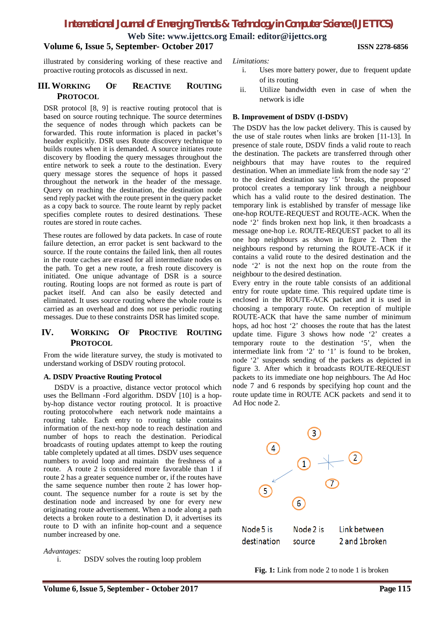## *International Journal of Emerging Trends & Technology in Computer Science (IJETTCS)*

**Web Site: www.ijettcs.org Email: editor@ijettcs.org**

## **Volume 6, Issue 5, September- October 2017 ISSN 2278-6856**

illustrated by considering working of these reactive and proactive routing protocols as discussed in next.

## **III. WORKING OF REACTIVE ROUTING PROTOCOL**

DSR protocol [8, 9] is reactive routing protocol that is based on source routing technique. The source determines the sequence of nodes through which packets can be forwarded. This route information is placed in packet's header explicitly. DSR uses Route discovery technique to builds routes when it is demanded. A source initiates route discovery by flooding the query messages throughout the entire network to seek a route to the destination. Every query message stores the sequence of hops it passed throughout the network in the header of the message. Query on reaching the destination, the destination node send reply packet with the route present in the query packet as a copy back to source. The route learnt by reply packet specifies complete routes to desired destinations. These routes are stored in route caches.

These routes are followed by data packets. In case of route failure detection, an error packet is sent backward to the source. If the route contains the failed link, then all routes in the route caches are erased for all intermediate nodes on the path. To get a new route, a fresh route discovery is initiated. One unique advantage of DSR is a source routing. Routing loops are not formed as route is part of packet itself. And can also be easily detected and eliminated. It uses source routing where the whole route is carried as an overhead and does not use periodic routing messages. Due to these constraints DSR has limited scope.

## **IV. WORKING OF PROCTIVE ROUTING PROTOCOL**

From the wide literature survey, the study is motivated to understand working of DSDV routing protocol.

## **A. DSDV Proactive Routing Protocol**

DSDV is a proactive, distance vector protocol which uses the Bellmann -Ford algorithm. DSDV [10] is a hopby-hop distance vector routing protocol. It is proactive routing protocolwhere each network node maintains a routing table. Each entry to routing table contains information of the next-hop node to reach destination and number of hops to reach the destination. Periodical broadcasts of routing updates attempt to keep the routing table completely updated at all times. DSDV uses sequence numbers to avoid loop and maintain the freshness of a route. A route 2 is considered more favorable than 1 if route 2 has a greater sequence number or, if the routes have the same sequence number then route 2 has lower hopcount. The sequence number for a route is set by the destination node and increased by one for every new originating route advertisement. When a node along a path detects a broken route to a destination D, it advertises its route to D with an infinite hop-count and a sequence number increased by one.

## *Advantages:*

i. DSDV solves the routing loop problem

#### *Limitations:*

- i. Uses more battery power, due to frequent update of its routing
- ii. Utilize bandwidth even in case of when the network is idle

## **B. Improvement of DSDV (I-DSDV)**

The DSDV has the low packet delivery. This is caused by the use of stale routes when links are broken [11-13]. In presence of stale route, DSDV finds a valid route to reach the destination. The packets are transferred through other neighbours that may have routes to the required destination. When an immediate link from the node say '2' to the desired destination say '5' breaks, the proposed protocol creates a temporary link through a neighbour which has a valid route to the desired destination. The temporary link is established by transfer of message like one-hop ROUTE-REQUEST and ROUTE-ACK. When the node '2' finds broken next hop link, it then broadcasts a message one-hop i.e. ROUTE-REQUEST packet to all its one hop neighbours as shown in figure 2. Then the neighbours respond by returning the ROUTE-ACK if it contains a valid route to the desired destination and the node '2' is not the next hop on the route from the neighbour to the desired destination.

Every entry in the route table consists of an additional entry for route update time. This required update time is enclosed in the ROUTE-ACK packet and it is used in choosing a temporary route. On reception of multiple ROUTE-ACK that have the same number of minimum hops, ad hoc host '2' chooses the route that has the latest update time. Figure 3 shows how node '2' creates a temporary route to the destination '5', when the intermediate link from '2' to '1' is found to be broken, node '2' suspends sending of the packets as depicted in figure 3. After which it broadcasts ROUTE-REQUEST packets to its immediate one hop neighbours. The Ad Hoc node 7 and 6 responds by specifying hop count and the route update time in ROUTE ACK packets and send it to Ad Hoc node 2.



Fig. 1: Link from node 2 to node 1 is broken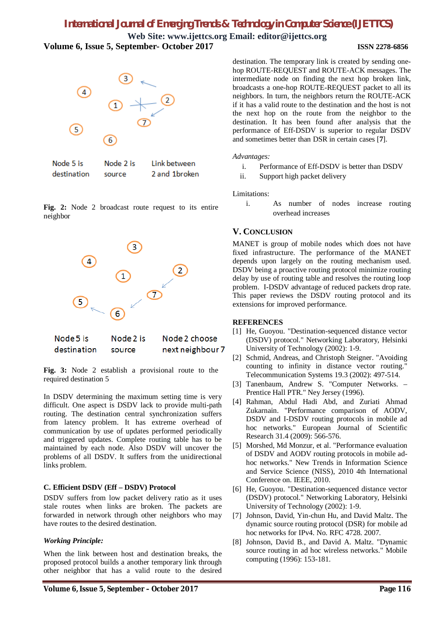## *International Journal of Emerging Trends & Technology in Computer Science (IJETTCS)*

**Web Site: www.ijettcs.org Email: editor@ijettcs.org Volume 6, Issue 5, September- October 2017 ISSN 2278-6856**

next neighbour 7



| Node 5 is   | Node 2 is | Link between  |
|-------------|-----------|---------------|
| destination | source    | 2 and 1broken |

**Fig. 2:** Node 2 broadcast route request to its entire neighbor



**Fig. 3:** Node 2 establish a provisional route to the required destination 5

source

In DSDV determining the maximum setting time is very difficult. One aspect is DSDV lack to provide multi-path routing. The destination central synchronization suffers from latency problem. It has extreme overhead of communication by use of updates performed periodically and triggered updates. Complete routing table has to be maintained by each node. Also DSDV will uncover the problems of all DSDV. It suffers from the unidirectional links problem.

## **C. Efficient DSDV (Eff – DSDV) Protocol**

DSDV suffers from low packet delivery ratio as it uses stale routes when links are broken. The packets are forwarded in network through other neighbors who may have routes to the desired destination.

#### *Working Principle:*

destination

When the link between host and destination breaks, the proposed protocol builds a another temporary link through other neighbor that has a valid route to the desired

destination. The temporary link is created by sending onehop ROUTE-REQUEST and ROUTE-ACK messages. The intermediate node on finding the next hop broken link, broadcasts a one-hop ROUTE-REQUEST packet to all its neighbors. In turn, the neighbors return the ROUTE-ACK if it has a valid route to the destination and the host is not the next hop on the route from the neighbor to the destination. It has been found after analysis that the performance of Eff-DSDV is superior to regular DSDV and sometimes better than DSR in certain cases [**7**].

#### *Advantages:*

- i. Performance of Eff-DSDV is better than DSDV
- ii. Support high packet delivery

Limitations:

i. As number of nodes increase routing overhead increases

## **V. CONCLUSION**

MANET is group of mobile nodes which does not have fixed infrastructure. The performance of the MANET depends upon largely on the routing mechanism used. DSDV being a proactive routing protocol minimize routing delay by use of routing table and resolves the routing loop problem. I-DSDV advantage of reduced packets drop rate. This paper reviews the DSDV routing protocol and its extensions for improved performance.

## **REFERENCES**

- [1] He, Guoyou. "Destination-sequenced distance vector (DSDV) protocol." Networking Laboratory, Helsinki University of Technology (2002): 1-9.
- [2] Schmid, Andreas, and Christoph Steigner. "Avoiding counting to infinity in distance vector routing." Telecommunication Systems 19.3 (2002): 497-514.
- [3] Tanenbaum, Andrew S. "Computer Networks. Prentice Hall PTR." Ney Jersey (1996).
- [4] Rahman, Abdul Hadi Abd, and Zuriati Ahmad Zukarnain. "Performance comparison of AODV, DSDV and I-DSDV routing protocols in mobile ad hoc networks." European Journal of Scientific Research 31.4 (2009): 566-576.
- [5] Morshed, Md Monzur, et al. "Performance evaluation of DSDV and AODV routing protocols in mobile adhoc networks." New Trends in Information Science and Service Science (NISS), 2010 4th International Conference on. IEEE, 2010.
- [6] He, Guoyou. "Destination-sequenced distance vector (DSDV) protocol." Networking Laboratory, Helsinki University of Technology (2002): 1-9.
- [7] Johnson, David, Yin-chun Hu, and David Maltz. The dynamic source routing protocol (DSR) for mobile ad hoc networks for IPv4. No. RFC 4728. 2007.
- [8] Johnson, David B., and David A. Maltz. "Dynamic source routing in ad hoc wireless networks." Mobile computing (1996): 153-181.